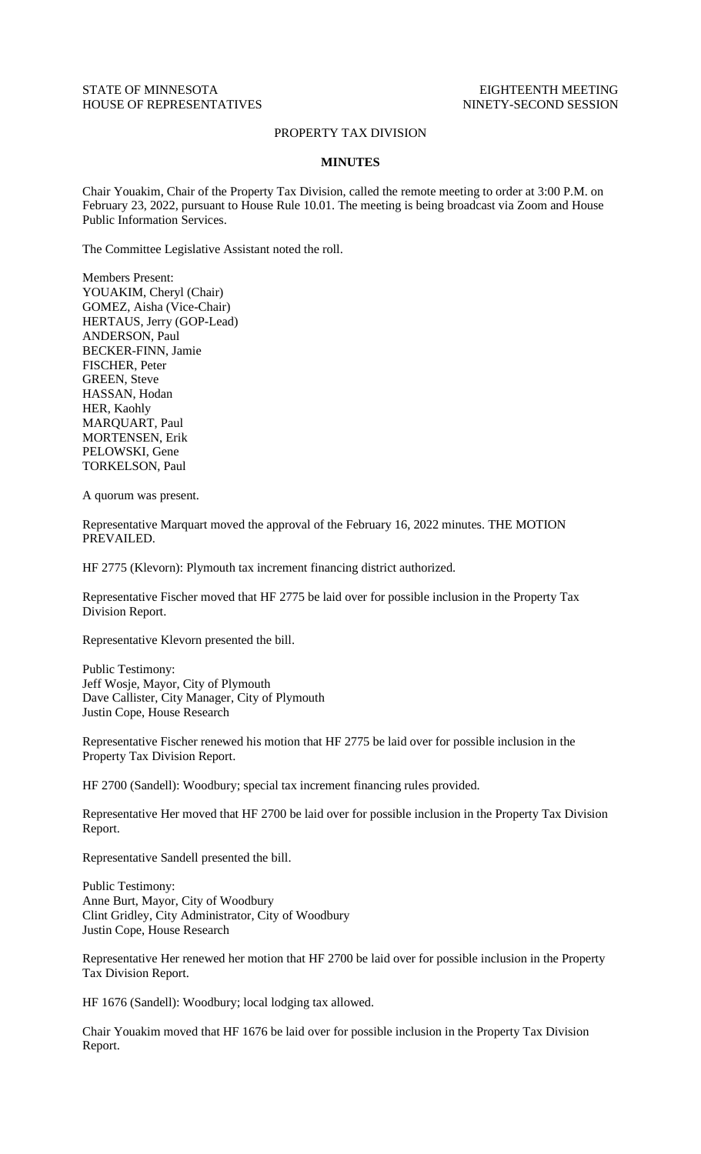## STATE OF MINNESOTA EIGHTEENTH MEETING HOUSE OF REPRESENTATIVES NINETY-SECOND SESSION

## PROPERTY TAX DIVISION

## **MINUTES**

Chair Youakim, Chair of the Property Tax Division, called the remote meeting to order at 3:00 P.M. on February 23, 2022, pursuant to House Rule 10.01. The meeting is being broadcast via Zoom and House Public Information Services.

The Committee Legislative Assistant noted the roll.

Members Present: YOUAKIM, Cheryl (Chair) GOMEZ, Aisha (Vice-Chair) HERTAUS, Jerry (GOP-Lead) ANDERSON, Paul BECKER-FINN, Jamie FISCHER, Peter GREEN, Steve HASSAN, Hodan HER, Kaohly MARQUART, Paul MORTENSEN, Erik PELOWSKI, Gene TORKELSON, Paul

A quorum was present.

Representative Marquart moved the approval of the February 16, 2022 minutes. THE MOTION PREVAILED.

HF 2775 (Klevorn): Plymouth tax increment financing district authorized.

Representative Fischer moved that HF 2775 be laid over for possible inclusion in the Property Tax Division Report.

Representative Klevorn presented the bill.

Public Testimony: Jeff Wosje, Mayor, City of Plymouth Dave Callister, City Manager, City of Plymouth Justin Cope, House Research

Representative Fischer renewed his motion that HF 2775 be laid over for possible inclusion in the Property Tax Division Report.

HF 2700 (Sandell): Woodbury; special tax increment financing rules provided.

Representative Her moved that HF 2700 be laid over for possible inclusion in the Property Tax Division Report.

Representative Sandell presented the bill.

Public Testimony: Anne Burt, Mayor, City of Woodbury Clint Gridley, City Administrator, City of Woodbury Justin Cope, House Research

Representative Her renewed her motion that HF 2700 be laid over for possible inclusion in the Property Tax Division Report.

HF 1676 (Sandell): Woodbury; local lodging tax allowed.

Chair Youakim moved that HF 1676 be laid over for possible inclusion in the Property Tax Division Report.